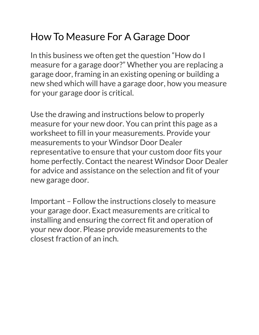## How To Measure For A Garage Door

In this business we often get the question "How do I measure for a garage door?" Whether you are replacing a garage door, framing in an existing opening or building a new shed which will have a garage door, how you measure for your garage door is critical.

Use the drawing and instructions below to properly measure for your new door. You can print this page as a worksheet to fill in your measurements. Provide your measurements to your Windsor Door Dealer representative to ensure that your custom door fits your home perfectly. Contact the nearest Windsor Door Dealer for advice and assistance on the selection and fit of your new garage door.

Important – Follow the instructions closely to measure your garage door. Exact measurements are critical to installing and ensuring the correct fit and operation of your new door. Please provide measurements to the closest fraction of an inch.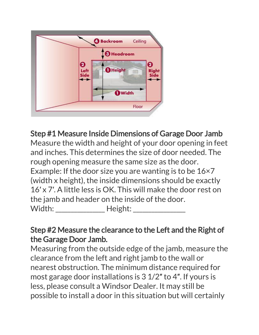

Step #1 Measure Inside Dimensions of Garage Door Jamb Measure the width and height of your door opening in feet and inches. This determines the size of door needed. The rough opening measure the same size as the door. Example: If the door size you are wanting is to be 16×7 (width x height), the inside dimensions should be exactly 16′ x 7′. A little less is OK. This will make the door rest on the jamb and header on the inside of the door. Width: Height:

## Step #2 Measure the clearance to the Left and the Right of the Garage Door Jamb.

Measuring from the outside edge of the jamb, measure the clearance from the left and right jamb to the wall or nearest obstruction. The minimum distance required for most garage door installations is 3 1/2″ to 4″. If yours is less, please consult a Windsor Dealer. It may still be possible to install a door in this situation but will certainly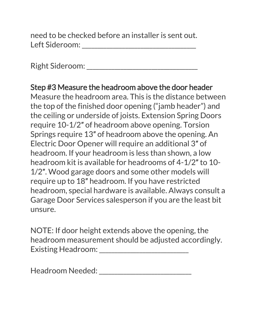need to be checked before an installer is sent out. Left Sideroom: \_\_\_\_\_\_\_\_\_\_\_\_\_\_\_\_\_\_\_\_\_\_\_\_\_\_\_\_\_\_\_\_\_\_\_\_\_

Right Sideroom: \_\_\_\_\_\_\_\_\_\_\_\_\_\_\_\_\_\_\_\_\_\_\_\_\_\_\_\_\_\_\_\_\_\_\_\_

Step #3 Measure the headroom above the door header Measure the headroom area. This is the distance between the top of the finished door opening ("jamb header") and the ceiling or underside of joists. Extension Spring Doors require 10-1/2″ of headroom above opening. Torsion Springs require 13″ of headroom above the opening. An Electric Door Opener will require an additional 3″ of headroom. If your headroom is less than shown, a low headroom kit is available for headrooms of 4-1/2″ to 10- 1/2″. Wood garage doors and some other models will require up to 18″ headroom. If you have restricted headroom, special hardware is available. Always consult a Garage Door Services salesperson if you are the least bit unsure.

NOTE: If door height extends above the opening, the headroom measurement should be adjusted accordingly. Existing Headroom: \_\_\_\_\_\_\_\_\_\_\_\_\_\_\_\_\_\_\_\_\_\_\_\_\_\_\_\_\_

Headroom Needed: \_\_\_\_\_\_\_\_\_\_\_\_\_\_\_\_\_\_\_\_\_\_\_\_\_\_\_\_\_\_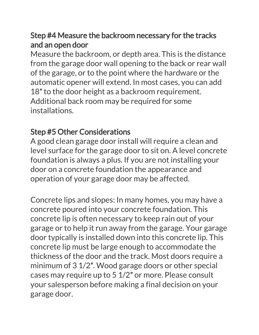## Step #4 Measure the backroom necessary for the tracks and an open door

Measure the backroom, or depth area. This is the distance from the garage door wall opening to the back or rear wall of the garage, or to the point where the hardware or the automatic opener will extend. In most cases, you can add 18" to the door height as a backroom requirement. Additional back room may be required for some installations.

## Step #5 Other Considerations

A good clean garage door install will require a clean and level surface for the garage door to sit on. A level concrete foundation is always a plus. If you are not installing your door on a concrete foundation the appearance and operation of your garage door may be affected.

Concrete lips and slopes: In many homes, you may have a concrete poured into your concrete foundation. This concrete lip is often necessary to keep rain out of your garage or to help it run away from the garage. Your garage door typically is installed down into this concrete lip. This concrete lip must be large enough to accommodate the thickness of the door and the track. Most doors require a minimum of 3 1/2″. Wood garage doors or other special cases may require up to 5 1/2″ or more. Please consult your salesperson before making a final decision on your garage door.